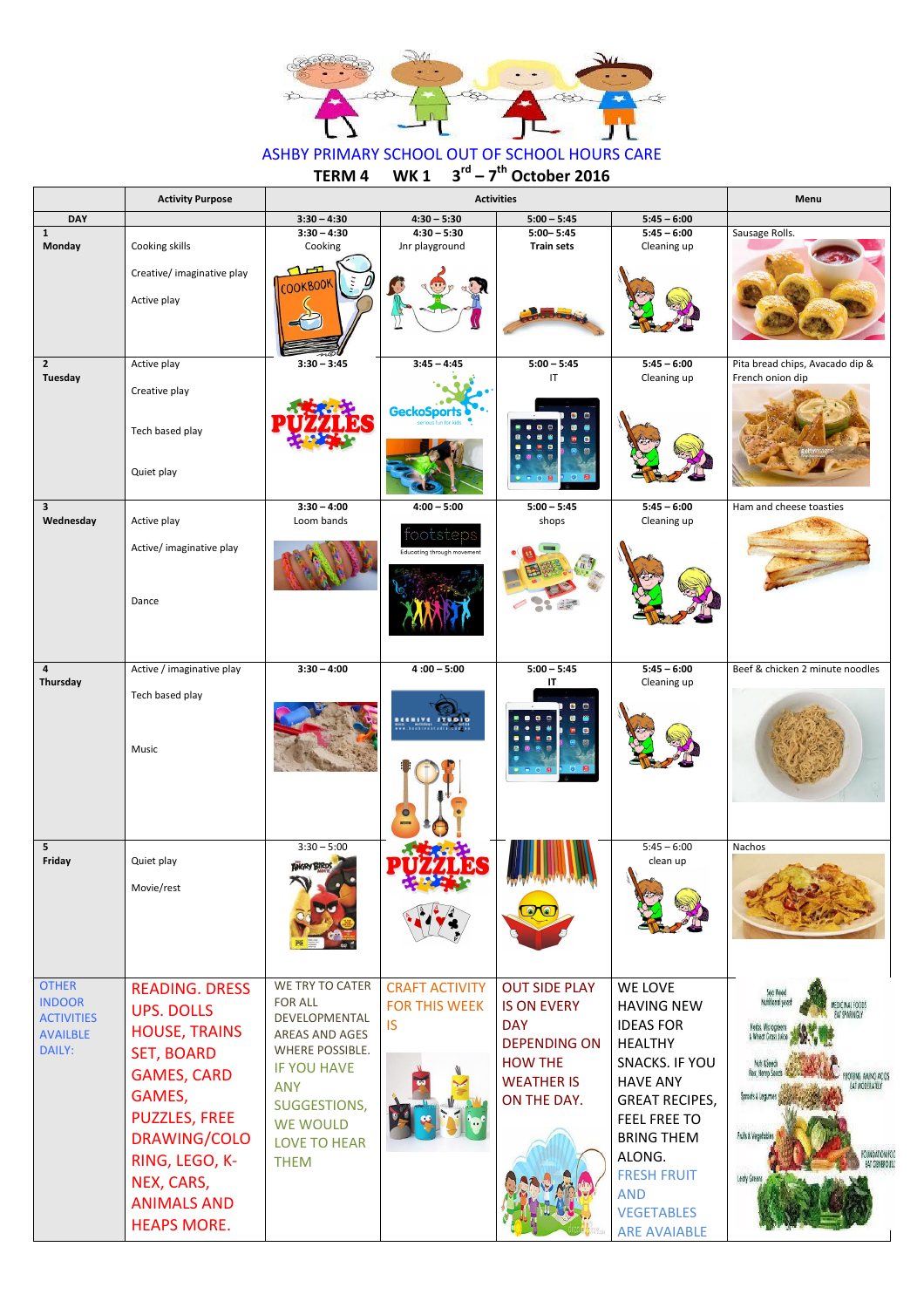

## ASHBY PRIMARY SCHOOL OUT OF SCHOOL HOURS CARE<br>TERM 4 WK 1 3<sup>rd</sup> - 7<sup>th</sup> October 2016 **TERM 4 WK 1 3 rd – 7 th October 2016**

WE TIVE T FOR ALL DEVELOPMENTAL AREAS AND AGES WHERE POSSIBLE. IF YOU HAVE ANY SUGGESTIONS, WE WOULD LOVE TO HEAR THEM CRAFT ACTIVITY FOR THIS WEEK IS

|                                  | <b>Activity Purpose</b>                         |                                     | Menu                                    |                                                                                                |                              |                                                     |
|----------------------------------|-------------------------------------------------|-------------------------------------|-----------------------------------------|------------------------------------------------------------------------------------------------|------------------------------|-----------------------------------------------------|
| <b>DAY</b>                       |                                                 | $3:30 - 4:30$                       | $4:30 - 5:30$                           | $5:00 - 5:45$                                                                                  | $5:45 - 6:00$                |                                                     |
| $\mathbf{1}$<br><b>Monday</b>    | Cooking skills                                  | $3:30 - 4:30$<br>Cooking            | $4:30 - 5:30$<br>Jnr playground         | $5:00 - 5:45$<br><b>Train sets</b>                                                             | $5:45 - 6:00$<br>Cleaning up | Sausage Rolls.                                      |
|                                  | Creative/ imaginative play<br>Active play       | $\mathbf{L}$<br><b>OOKBOOK</b>      |                                         |                                                                                                |                              |                                                     |
| $\overline{2}$<br><b>Tuesday</b> | Active play<br>Creative play<br>Tech based play | $3:30 - 3:45$                       | $3:45 - 4:45$<br><b>GeckoSports</b>     | $5:00 - 5:45$<br>IT<br>o<br>$\bullet$<br>e                                                     | $5:45 - 6:00$<br>Cleaning up | Pita bread chips, Avacado dip &<br>French onion dip |
| $\overline{\mathbf{3}}$          | Quiet play                                      | $3:30 - 4:00$                       | $4:00 - 5:00$                           | $\bullet$ $\bullet$<br>$\begin{array}{c} \circ \\ \circ \\ \circ \end{array}$<br>$5:00 - 5:45$ | $5:45 - 6:00$                | Ham and cheese toasties                             |
| Wednesday                        | Active play                                     | Loom bands                          |                                         | shops                                                                                          | Cleaning up                  |                                                     |
|                                  | Active/ imaginative play<br>Dance               |                                     | tootsteps<br>Educating through movement |                                                                                                |                              |                                                     |
| $\pmb{4}$<br>Thursday            | Active / imaginative play                       | $3:30 - 4:00$                       | $4:00 - 5:00$                           | $5:00 - 5:45$                                                                                  | $5:45 - 6:00$                | Beef & chicken 2 minute noodles                     |
|                                  | Tech based play<br>Music                        |                                     | BEENIVE STUDIO<br>G<br><b>Room</b>      | IT<br>$\bullet$ $\bullet$<br>$\bullet$ $\bullet$<br>$0 = 0$ <b>8</b>                           | Cleaning up                  |                                                     |
| 5 <sub>5</sub><br>Friday         | Quiet play<br>Movie/rest                        | $3:30 - 5:00$<br><b>ANGRY BIRDS</b> | $\mathcal{R}$                           |                                                                                                | $5:45 - 6:00$<br>clean up    | Nachos                                              |
| <b>OTHER</b>                     | <b>READING, DRESS</b>                           | WE TRY TO CATER                     | <b>CRAFT ACTIVITY</b>                   | <b>OUT SIDE PLAY</b>                                                                           | WE LOVE                      |                                                     |

OTHER INDOOR **ACTIVITIES** AVAILBLE DAILY:

READING. DRESS UPS. DOLLS HOUSE, TRAINS SET, BOARD GAMES, CARD GAMES, PUZZLES, FREE DRAWING/COLO RING, LEGO, K-NEX, CARS, ANIMALS AND HEAPS MORE.

OUT SIDE PLAY IS ON EVERY **DAY** DEPENDING ON HOW THE WEATHER IS ON THE DAY.

HAVING NEW IDEAS FOR HEALTHY SNACKS. IF YOU HAVE ANY GREAT RECIPES, FEEL FREE TO BRING THEM ALONG. FRESH FRUIT AND VEGETABLES ARE AVAIABLE